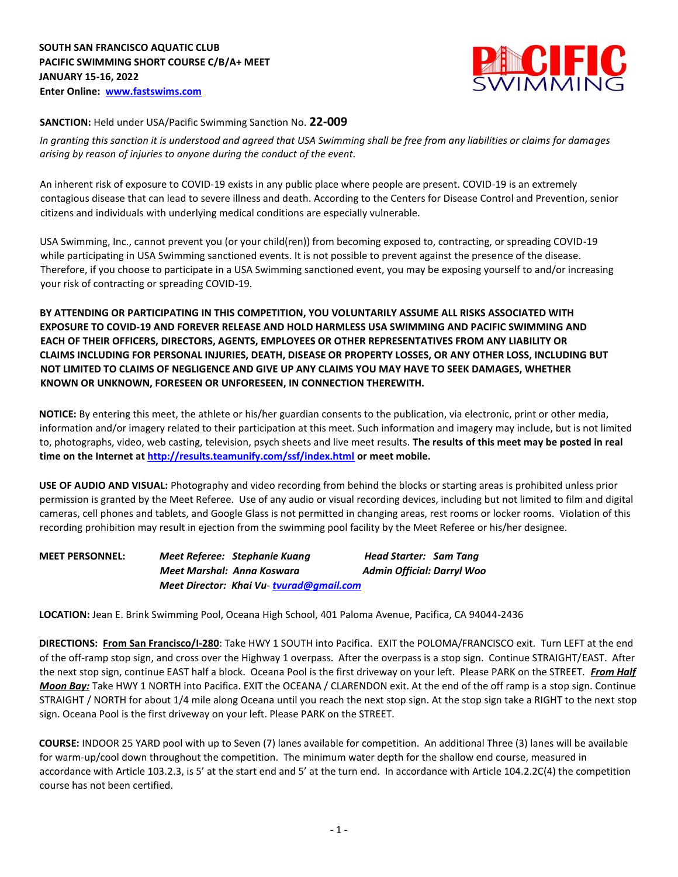

## **SANCTION:** Held under USA/Pacific Swimming Sanction No. **22-009**

*In granting this sanction it is understood and agreed that USA Swimming shall be free from any liabilities or claims for damages arising by reason of injuries to anyone during the conduct of the event.* 

An inherent risk of exposure to COVID-19 exists in any public place where people are present. COVID-19 is an extremely contagious disease that can lead to severe illness and death. According to the Centers for Disease Control and Prevention, senior citizens and individuals with underlying medical conditions are especially vulnerable.

USA Swimming, Inc., cannot prevent you (or your child(ren)) from becoming exposed to, contracting, or spreading COVID-19 while participating in USA Swimming sanctioned events. It is not possible to prevent against the presence of the disease. Therefore, if you choose to participate in a USA Swimming sanctioned event, you may be exposing yourself to and/or increasing your risk of contracting or spreading COVID-19.

**BY ATTENDING OR PARTICIPATING IN THIS COMPETITION, YOU VOLUNTARILY ASSUME ALL RISKS ASSOCIATED WITH EXPOSURE TO COVID-19 AND FOREVER RELEASE AND HOLD HARMLESS USA SWIMMING AND PACIFIC SWIMMING AND EACH OF THEIR OFFICERS, DIRECTORS, AGENTS, EMPLOYEES OR OTHER REPRESENTATIVES FROM ANY LIABILITY OR CLAIMS INCLUDING FOR PERSONAL INJURIES, DEATH, DISEASE OR PROPERTY LOSSES, OR ANY OTHER LOSS, INCLUDING BUT NOT LIMITED TO CLAIMS OF NEGLIGENCE AND GIVE UP ANY CLAIMS YOU MAY HAVE TO SEEK DAMAGES, WHETHER KNOWN OR UNKNOWN, FORESEEN OR UNFORESEEN, IN CONNECTION THEREWITH.** 

**NOTICE:** By entering this meet, the athlete or his/her guardian consents to the publication, via electronic, print or other media, information and/or imagery related to their participation at this meet. Such information and imagery may include, but is not limited to, photographs, video, web casting, television, psych sheets and live meet results. **The results of this meet may be posted in real time on the Internet [at http://results.teamunify.com/ssf/index.html](http://results.teamunify.com/ssf/index.html) [or meet mobile.](http://results.teamunify.com/ssf/index.html)**

**USE OF AUDIO AND VISUAL:** Photography and video recording from behind the blocks or starting areas is prohibited unless prior permission is granted by the Meet Referee. Use of any audio or visual recording devices, including but not limited to film and digital cameras, cell phones and tablets, and Google Glass is not permitted in changing areas, rest rooms or locker rooms. Violation of this recording prohibition may result in ejection from the swimming pool facility by the Meet Referee or his/her designee.

**MEET PERSONNEL:** *Meet Referee: Stephanie Kuang Head Starter: Sam Tang Meet Marshal: Anna Koswara* **Admin Official: Darryl Woo** *Meet Director: Khai Vu- tvurad@gmail.com* 

**LOCATION:** Jean E. Brink Swimming Pool, Oceana High School, 401 Paloma Avenue, Pacifica, CA 94044-2436

**DIRECTIONS: From San Francisco/I-280**: Take HWY 1 SOUTH into Pacifica. EXIT the POLOMA/FRANCISCO exit. Turn LEFT at the end of the off-ramp stop sign, and cross over the Highway 1 overpass. After the overpass is a stop sign. Continue STRAIGHT/EAST. After the next stop sign, continue EAST half a block. Oceana Pool is the first driveway on your left. Please PARK on the STREET. *From Half Moon Bay:* Take HWY 1 NORTH into Pacifica. EXIT the OCEANA / CLARENDON exit. At the end of the off ramp is a stop sign. Continue STRAIGHT / NORTH for about 1/4 mile along Oceana until you reach the next stop sign. At the stop sign take a RIGHT to the next stop sign. Oceana Pool is the first driveway on your left. Please PARK on the STREET.

**COURSE:** INDOOR 25 YARD pool with up to Seven (7) lanes available for competition. An additional Three (3) lanes will be available for warm-up/cool down throughout the competition. The minimum water depth for the shallow end course, measured in accordance with Article 103.2.3, is 5' at the start end and 5' at the turn end. In accordance with Article 104.2.2C(4) the competition course has not been certified.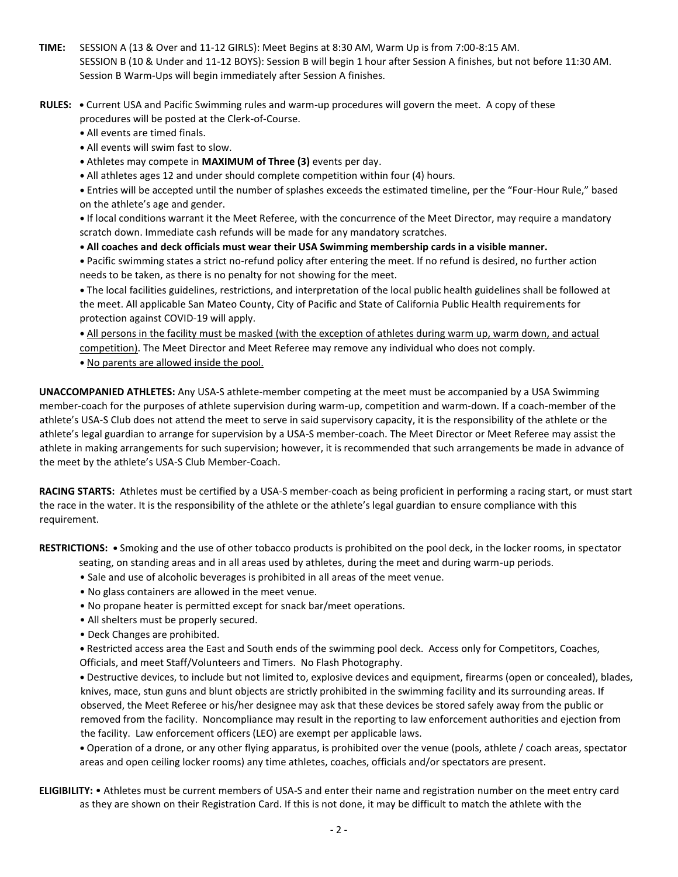- **TIME:** SESSION A (13 & Over and 11-12 GIRLS): Meet Begins at 8:30 AM, Warm Up is from 7:00-8:15 AM. SESSION B (10 & Under and 11-12 BOYS): Session B will begin 1 hour after Session A finishes, but not before 11:30 AM. Session B Warm-Ups will begin immediately after Session A finishes.
- **RULES:** Current USA and Pacific Swimming rules and warm-up procedures will govern the meet. A copy of these procedures will be posted at the Clerk-of-Course.
	- All events are timed finals.
	- All events will swim fast to slow.
	- Athletes may compete in **MAXIMUM of Three (3)** events per day.
	- All athletes ages 12 and under should complete competition within four (4) hours.

**•** Entries will be accepted until the number of splashes exceeds the estimated timeline, per the "Four-Hour Rule," based on the athlete's age and gender.

**•** If local conditions warrant it the Meet Referee, with the concurrence of the Meet Director, may require a mandatory scratch down. Immediate cash refunds will be made for any mandatory scratches.

**• All coaches and deck officials must wear their USA Swimming membership cards in a visible manner.**

**•** Pacific swimming states a strict no-refund policy after entering the meet. If no refund is desired, no further action needs to be taken, as there is no penalty for not showing for the meet.

**•** The local facilities guidelines, restrictions, and interpretation of the local public health guidelines shall be followed at the meet. All applicable San Mateo County, City of Pacific and State of California Public Health requirements for protection against COVID-19 will apply.

**•** All persons in the facility must be masked (with the exception of athletes during warm up, warm down, and actual competition). The Meet Director and Meet Referee may remove any individual who does not comply.

**•** No parents are allowed inside the pool.

**UNACCOMPANIED ATHLETES:** Any USA-S athlete-member competing at the meet must be accompanied by a USA Swimming member-coach for the purposes of athlete supervision during warm-up, competition and warm-down. If a coach-member of the athlete's USA-S Club does not attend the meet to serve in said supervisory capacity, it is the responsibility of the athlete or the athlete's legal guardian to arrange for supervision by a USA-S member-coach. The Meet Director or Meet Referee may assist the athlete in making arrangements for such supervision; however, it is recommended that such arrangements be made in advance of the meet by the athlete's USA-S Club Member-Coach.

**RACING STARTS:** Athletes must be certified by a USA-S member-coach as being proficient in performing a racing start, or must start the race in the water. It is the responsibility of the athlete or the athlete's legal guardian to ensure compliance with this requirement.

**RESTRICTIONS: •** Smoking and the use of other tobacco products is prohibited on the pool deck, in the locker rooms, in spectator

- seating, on standing areas and in all areas used by athletes, during the meet and during warm-up periods.
- Sale and use of alcoholic beverages is prohibited in all areas of the meet venue.
- No glass containers are allowed in the meet venue.
- No propane heater is permitted except for snack bar/meet operations.
- All shelters must be properly secured.
- Deck Changes are prohibited.

**•** Restricted access area the East and South ends of the swimming pool deck. Access only for Competitors, Coaches, Officials, and meet Staff/Volunteers and Timers. No Flash Photography.

**•** Destructive devices, to include but not limited to, explosive devices and equipment, firearms (open or concealed), blades, knives, mace, stun guns and blunt objects are strictly prohibited in the swimming facility and its surrounding areas. If observed, the Meet Referee or his/her designee may ask that these devices be stored safely away from the public or removed from the facility. Noncompliance may result in the reporting to law enforcement authorities and ejection from the facility. Law enforcement officers (LEO) are exempt per applicable laws.

**•** Operation of a drone, or any other flying apparatus, is prohibited over the venue (pools, athlete / coach areas, spectator areas and open ceiling locker rooms) any time athletes, coaches, officials and/or spectators are present.

**ELIGIBILITY:** • Athletes must be current members of USA-S and enter their name and registration number on the meet entry card as they are shown on their Registration Card. If this is not done, it may be difficult to match the athlete with the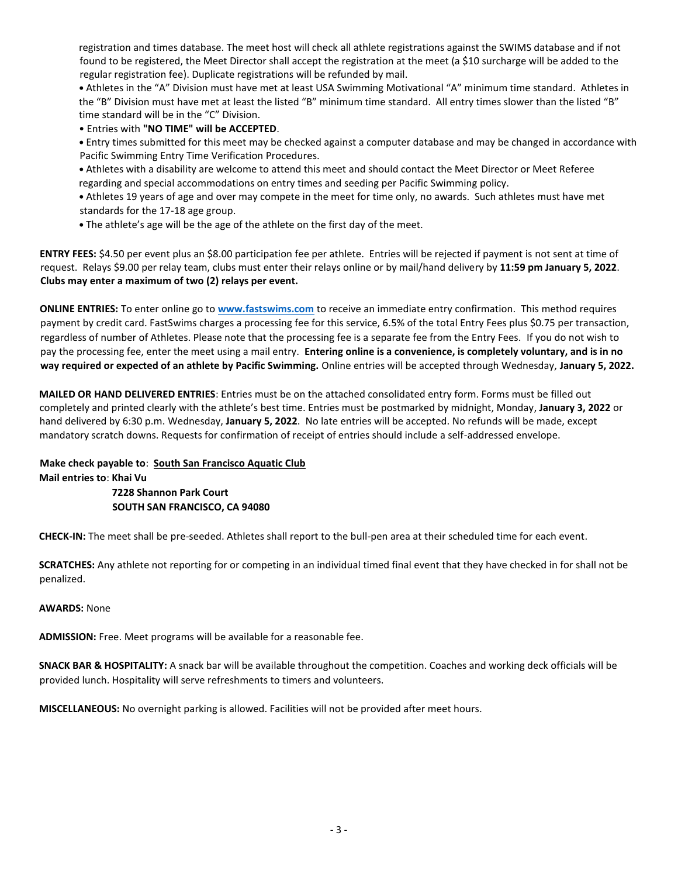registration and times database. The meet host will check all athlete registrations against the SWIMS database and if not found to be registered, the Meet Director shall accept the registration at the meet (a \$10 surcharge will be added to the regular registration fee). Duplicate registrations will be refunded by mail.

**•** Athletes in the "A" Division must have met at least USA Swimming Motivational "A" minimum time standard. Athletes in the "B" Division must have met at least the listed "B" minimum time standard. All entry times slower than the listed "B" time standard will be in the "C" Division.

• Entries with **"NO TIME" will be ACCEPTED**.

**•** Entry times submitted for this meet may be checked against a computer database and may be changed in accordance with Pacific Swimming Entry Time Verification Procedures.

**•** Athletes with a disability are welcome to attend this meet and should contact the Meet Director or Meet Referee regarding and special accommodations on entry times and seeding per Pacific Swimming policy.

**•** Athletes 19 years of age and over may compete in the meet for time only, no awards. Such athletes must have met standards for the 17-18 age group.

**•** The athlete's age will be the age of the athlete on the first day of the meet.

**ENTRY FEES:** \$4.50 per event plus an \$8.00 participation fee per athlete. Entries will be rejected if payment is not sent at time of request. Relays \$9.00 per relay team, clubs must enter their relays online or by mail/hand delivery by **11:59 pm January 5, 2022**. **Clubs may enter a maximum of two (2) relays per event.**

**ONLINE ENTRIES:** To enter online go to **[www.fastswims.com](http://www.fastswims.com/)** to receive an immediate entry confirmation. This method requires payment by credit card. FastSwims charges a processing fee for this service, 6.5% of the total Entry Fees plus \$0.75 per transaction, regardless of number of Athletes. Please note that the processing fee is a separate fee from the Entry Fees. If you do not wish to pay the processing fee, enter the meet using a mail entry. **Entering online is a convenience, is completely voluntary, and is in no way required or expected of an athlete by Pacific Swimming.** Online entries will be accepted through Wednesday, **January 5, 2022.**

**MAILED OR HAND DELIVERED ENTRIES**: Entries must be on the attached consolidated entry form. Forms must be filled out completely and printed clearly with the athlete's best time. Entries must be postmarked by midnight, Monday, **January 3, 2022** or hand delivered by 6:30 p.m. Wednesday, **January 5, 2022**. No late entries will be accepted. No refunds will be made, except mandatory scratch downs. Requests for confirmation of receipt of entries should include a self-addressed envelope.

**Make check payable to**: **South San Francisco Aquatic Club Mail entries to**: **Khai Vu 7228 Shannon Park Court SOUTH SAN FRANCISCO, CA 94080** 

**CHECK-IN:** The meet shall be pre-seeded. Athletes shall report to the bull-pen area at their scheduled time for each event.

**SCRATCHES:** Any athlete not reporting for or competing in an individual timed final event that they have checked in for shall not be penalized.

**AWARDS:** None

**ADMISSION:** Free. Meet programs will be available for a reasonable fee.

**SNACK BAR & HOSPITALITY:** A snack bar will be available throughout the competition. Coaches and working deck officials will be provided lunch. Hospitality will serve refreshments to timers and volunteers.

**MISCELLANEOUS:** No overnight parking is allowed. Facilities will not be provided after meet hours.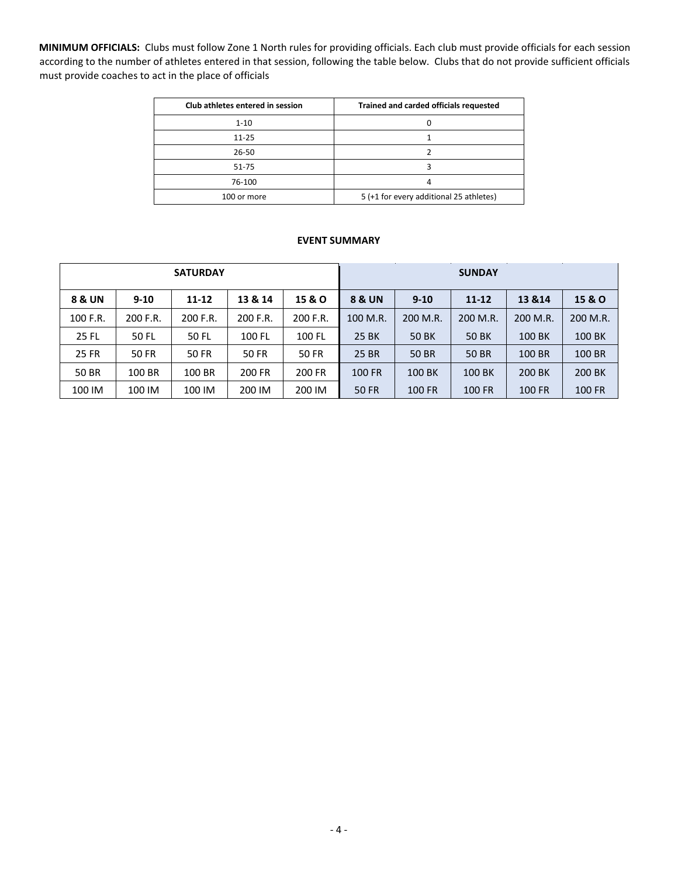**MINIMUM OFFICIALS:** Clubs must follow Zone 1 North rules for providing officials. Each club must provide officials for each session according to the number of athletes entered in that session, following the table below. Clubs that do not provide sufficient officials must provide coaches to act in the place of officials

| Club athletes entered in session | Trained and carded officials requested  |
|----------------------------------|-----------------------------------------|
| $1 - 10$                         |                                         |
| $11 - 25$                        |                                         |
| 26-50                            |                                         |
| 51-75                            |                                         |
| 76-100                           |                                         |
| 100 or more                      | 5 (+1 for every additional 25 athletes) |

## **EVENT SUMMARY**

| <b>SATURDAY</b> |              |          |          |          | <b>SUNDAY</b>     |          |           |          |                   |  |  |  |
|-----------------|--------------|----------|----------|----------|-------------------|----------|-----------|----------|-------------------|--|--|--|
| 8 & UN          | $9 - 10$     | 11-12    | 13 & 14  | 15 & O   | <b>8 &amp; UN</b> | $9 - 10$ | $11 - 12$ | 13 & 14  | <b>15 &amp; O</b> |  |  |  |
| 100 F.R.        | 200 F.R.     | 200 F.R. | 200 F.R. | 200 F.R. | 100 M.R.          | 200 M.R. | 200 M.R.  | 200 M.R. | 200 M.R.          |  |  |  |
| <b>25 FL</b>    | 50 FL        | 50 FL    | 100 FL   | 100 FL   | <b>25 BK</b>      | 50 BK    | 50 BK     | 100 BK   | 100 BK            |  |  |  |
| <b>25 FR</b>    | <b>50 FR</b> | 50 FR    | 50 FR    | 50 FR    | 25 BR             | 50 BR    | 50 BR     | 100 BR   | 100 BR            |  |  |  |
| <b>50 BR</b>    | 100 BR       | 100 BR   | 200 FR   | 200 FR   | 100 FR            | 100 BK   | 100 BK    | 200 BK   | 200 BK            |  |  |  |
| 100 IM          | 100 IM       | 100 IM   | 200 IM   | 200 IM   | 50 FR             | 100 FR   | 100 FR    | 100 FR   | <b>100 FR</b>     |  |  |  |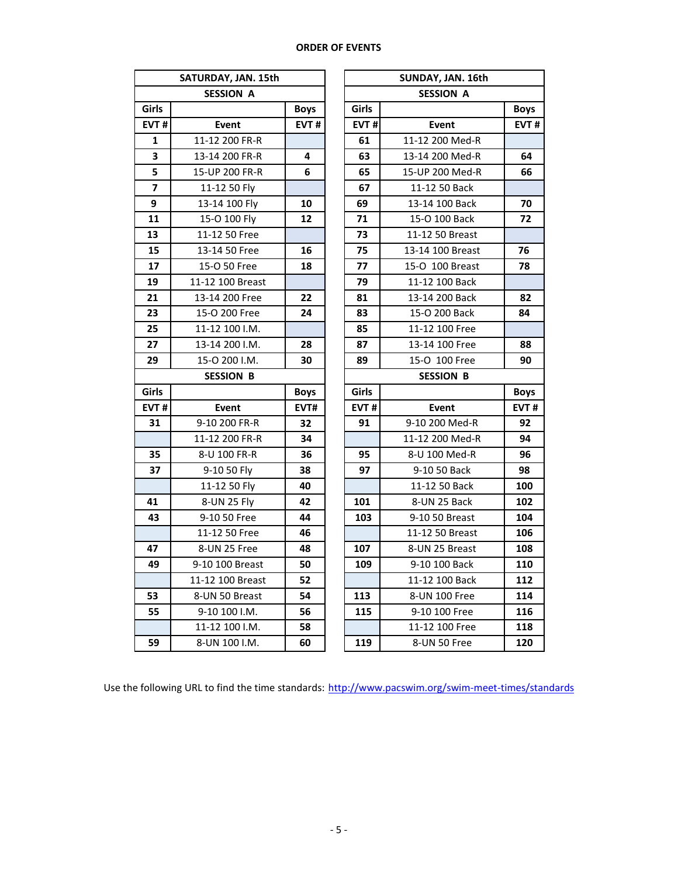## **ORDER OF EVENTS**

|                         | SATURDAY, JAN. 15th |             |       | SUNDAY, JAN. 16th |             |  |  |  |  |  |  |
|-------------------------|---------------------|-------------|-------|-------------------|-------------|--|--|--|--|--|--|
|                         | <b>SESSION A</b>    |             |       | <b>SESSION A</b>  |             |  |  |  |  |  |  |
| Girls                   |                     | <b>Boys</b> | Girls |                   | <b>Boys</b> |  |  |  |  |  |  |
| EVT#                    | <b>Event</b>        | EVT#        | EVT#  | <b>Event</b>      | EVT#        |  |  |  |  |  |  |
| 1                       | 11-12 200 FR-R      |             | 61    | 11-12 200 Med-R   |             |  |  |  |  |  |  |
| 3                       | 13-14 200 FR-R      | 4           | 63    | 13-14 200 Med-R   | 64          |  |  |  |  |  |  |
| 5                       | 15-UP 200 FR-R      | 6           | 65    | 15-UP 200 Med-R   | 66          |  |  |  |  |  |  |
| $\overline{\mathbf{z}}$ | 11-12 50 Fly        |             | 67    | 11-12 50 Back     |             |  |  |  |  |  |  |
| 9                       | 13-14 100 Fly       | 10          | 69    | 13-14 100 Back    | 70          |  |  |  |  |  |  |
| 11                      | 15-O 100 Fly        | 12          | 71    | 15-O 100 Back     | 72          |  |  |  |  |  |  |
| 13                      | 11-12 50 Free       |             | 73    | 11-12 50 Breast   |             |  |  |  |  |  |  |
| 15                      | 13-14 50 Free       | 16          | 75    | 13-14 100 Breast  | 76          |  |  |  |  |  |  |
| 17                      | 15-O 50 Free        | 18          | 77    | 15-0 100 Breast   | 78          |  |  |  |  |  |  |
| 19                      | 11-12 100 Breast    |             | 79    | 11-12 100 Back    |             |  |  |  |  |  |  |
| 21                      | 13-14 200 Free      | 22          | 81    | 13-14 200 Back    | 82          |  |  |  |  |  |  |
| 23                      | 15-O 200 Free       | 24          | 83    | 15-O 200 Back     | 84          |  |  |  |  |  |  |
| 25                      | 11-12 100 I.M.      |             | 85    | 11-12 100 Free    |             |  |  |  |  |  |  |
| 27                      | 13-14 200 I.M.      | 28          | 87    | 13-14 100 Free    | 88          |  |  |  |  |  |  |
| 29                      | 15-0 200 I.M.       | 30          | 89    | 15-O 100 Free     | 90          |  |  |  |  |  |  |
|                         | <b>SESSION B</b>    |             |       | <b>SESSION B</b>  |             |  |  |  |  |  |  |
| Girls                   |                     | <b>Boys</b> | Girls |                   | <b>Boys</b> |  |  |  |  |  |  |
| EVT#                    | <b>Event</b>        | EVT#        | EVT#  | <b>Event</b>      | EVT#        |  |  |  |  |  |  |
| 31                      | 9-10 200 FR-R       | 32          | 91    | 9-10 200 Med-R    | 92          |  |  |  |  |  |  |
|                         | 11-12 200 FR-R      | 34          |       | 11-12 200 Med-R   | 94          |  |  |  |  |  |  |
| 35                      | 8-U 100 FR-R        | 36          | 95    | 8-U 100 Med-R     | 96          |  |  |  |  |  |  |
| 37                      | 9-10 50 Fly         | 38          | 97    | 9-10 50 Back      | 98          |  |  |  |  |  |  |
|                         | 11-12 50 Fly        | 40          |       | 11-12 50 Back     | 100         |  |  |  |  |  |  |
| 41                      | 8-UN 25 Fly         | 42          | 101   | 8-UN 25 Back      | 102         |  |  |  |  |  |  |
| 43                      | 9-10 50 Free        | 44          | 103   | 9-10 50 Breast    | 104         |  |  |  |  |  |  |
|                         | 11-12 50 Free       | 46          |       | 11-12 50 Breast   | 106         |  |  |  |  |  |  |
| 47                      | 8-UN 25 Free        | 48          | 107   | 8-UN 25 Breast    | 108         |  |  |  |  |  |  |
| 49                      | 9-10 100 Breast     | 50          | 109   | 9-10 100 Back     | 110         |  |  |  |  |  |  |
|                         | 11-12 100 Breast    | 52          |       | 11-12 100 Back    | 112         |  |  |  |  |  |  |
| 53                      | 8-UN 50 Breast      | 54          | 113   | 8-UN 100 Free     | 114         |  |  |  |  |  |  |
| 55                      | 9-10 100 I.M.       | 56          | 115   | 9-10 100 Free     | 116         |  |  |  |  |  |  |
|                         | 11-12 100 I.M.      | 58          |       | 11-12 100 Free    | 118         |  |  |  |  |  |  |
| 59                      | 8-UN 100 I.M.       | 60          | 119   | 8-UN 50 Free      | 120         |  |  |  |  |  |  |

| TURDAY, JAN. 15th |             |                  | SUNDAY, JAN. 16th |      |  |  |  |  |
|-------------------|-------------|------------------|-------------------|------|--|--|--|--|
| <b>SESSION A</b>  |             |                  | <b>SESSION A</b>  |      |  |  |  |  |
|                   | <b>Boys</b> | Girls            |                   |      |  |  |  |  |
| Event             | EVT#        | EVT#             | Event             | EVT# |  |  |  |  |
| 11-12 200 FR-R    |             | 61               | 11-12 200 Med-R   |      |  |  |  |  |
| 13-14 200 FR-R    | 4           | 63               | 13-14 200 Med-R   | 64   |  |  |  |  |
| 15-UP 200 FR-R    | 6           | 65               | 15-UP 200 Med-R   | 66   |  |  |  |  |
| 11-12 50 Fly      |             | 67               | 11-12 50 Back     |      |  |  |  |  |
| 13-14 100 Fly     | 10          | 69               | 13-14 100 Back    | 70   |  |  |  |  |
| 15-O 100 Fly      | 12          | 71               | 15-O 100 Back     | 72   |  |  |  |  |
| 11-12 50 Free     |             | 73               | 11-12 50 Breast   |      |  |  |  |  |
| 13-14 50 Free     | 16          | 75               | 13-14 100 Breast  | 76   |  |  |  |  |
| 15-O 50 Free      | 18          | 77               | 15-O 100 Breast   | 78   |  |  |  |  |
| 11-12 100 Breast  |             | 79               | 11-12 100 Back    |      |  |  |  |  |
| 13-14 200 Free    | 22          | 81               | 13-14 200 Back    | 82   |  |  |  |  |
| 15-O 200 Free     | 24          | 83               | 15-O 200 Back     | 84   |  |  |  |  |
| 11-12 100 I.M.    |             | 85               | 11-12 100 Free    |      |  |  |  |  |
| 13-14 200 I.M.    | 28          | 87               | 13-14 100 Free    | 88   |  |  |  |  |
| 15-0 200 I.M.     | 30          | 89               | 15-0 100 Free     | 90   |  |  |  |  |
| <b>SESSION B</b>  |             | <b>SESSION B</b> |                   |      |  |  |  |  |
|                   | <b>Boys</b> | Girls            | <b>Boys</b>       |      |  |  |  |  |
| Event             | EVT#        | EVT#             | Event             | EVT# |  |  |  |  |
| 9-10 200 FR-R     | 32          | 91               | 9-10 200 Med-R    | 92   |  |  |  |  |
| 11-12 200 FR-R    | 34          |                  | 11-12 200 Med-R   | 94   |  |  |  |  |
| 8-U 100 FR-R      | 36          | 95               | 8-U 100 Med-R     | 96   |  |  |  |  |
| 9-10 50 Fly       | 38          | 97               | 9-10 50 Back      | 98   |  |  |  |  |
| 11-12 50 Fly      | 40          |                  | 11-12 50 Back     | 100  |  |  |  |  |
| 8-UN 25 Fly       | 42          | 101              | 8-UN 25 Back      | 102  |  |  |  |  |
| 9-10 50 Free      | 44          | 103              | 9-10 50 Breast    | 104  |  |  |  |  |
| 11-12 50 Free     | 46          |                  | 11-12 50 Breast   | 106  |  |  |  |  |
| 8-UN 25 Free      | 48          | 107              | 8-UN 25 Breast    | 108  |  |  |  |  |
| 9-10 100 Breast   | 50          | 109              | 9-10 100 Back     | 110  |  |  |  |  |
| 11-12 100 Breast  | 52          |                  | 11-12 100 Back    | 112  |  |  |  |  |
| 8-UN 50 Breast    | 54          | 113              | 8-UN 100 Free     | 114  |  |  |  |  |
| 9-10 100 I.M.     | 56          | 115              | 9-10 100 Free     | 116  |  |  |  |  |
| 11-12 100 I.M.    | 58          |                  | 11-12 100 Free    | 118  |  |  |  |  |
| 8-UN 100 I.M.     | 60          | 119              | 8-UN 50 Free      | 120  |  |  |  |  |

Use the following URL to find the time standards: http://www.pacswim.org/swim-meet-times/standards